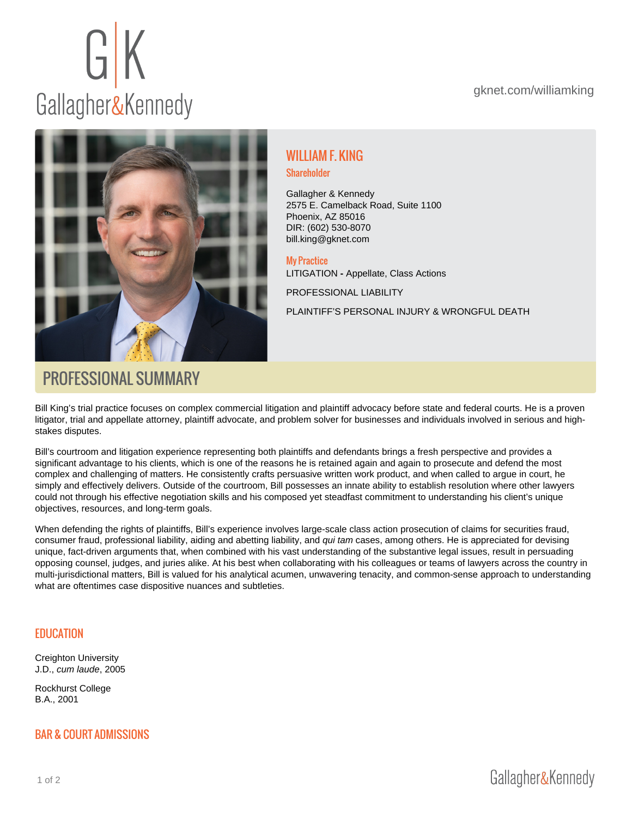# WILLIAM F. KING

#### Shareholder

Gallagher & Kennedy 2575 E. Camelback Road, Suite 1100 Phoenix, AZ 85016 DIR: (602) 530-8070 [bill.king@gknet.com](mailto:bill.king@gknet.com)

My Practice [LITIGATION](https://gknet.com/departments/litigation/) - Appellate, Class Actions

[PROFESSIONAL LIABILITY](https://gknet.com/departments/professional-liability/)

[PLAINTIFF'S PERSONAL INJURY & WRONGFUL DEATH](https://gknet.com/departments/personal-injury/)

# PROFESSIONAL SUMMARY

Bill King's trial practice focuses on complex commercial litigation and plaintiff advocacy before state and federal courts. He is a proven litigator, trial and appellate attorney, plaintiff advocate, and problem solver for businesses and individuals involved in serious and highstakes disputes.

Bill's courtroom and litigation experience representing both plaintiffs and defendants brings a fresh perspective and provides a significant advantage to his clients, which is one of the reasons he is retained again and again to prosecute and defend the most complex and challenging of matters. He consistently crafts persuasive written work product, and when called to argue in court, he simply and effectively delivers. Outside of the courtroom, Bill possesses an innate ability to establish resolution where other lawyers could not through his effective negotiation skills and his composed yet steadfast commitment to understanding his client's unique objectives, resources, and long-term goals.

When defending the rights of plaintiffs, Bill's experience involves large-scale class action prosecution of claims for securities fraud, consumer fraud, professional liability, aiding and abetting liability, and qui tam cases, among others. He is appreciated for devising unique, fact-driven arguments that, when combined with his vast understanding of the substantive legal issues, result in persuading opposing counsel, judges, and juries alike. At his best when collaborating with his colleagues or teams of lawyers across the country in multi-jurisdictional matters, Bill is valued for his analytical acumen, unwavering tenacity, and common-sense approach to understanding what are oftentimes case dispositive nuances and subtleties.

#### EDUCATION

Creighton University J.D., cum laude, 2005

Rockhurst College B.A., 2001

## BAR & COURT ADMISSIONS